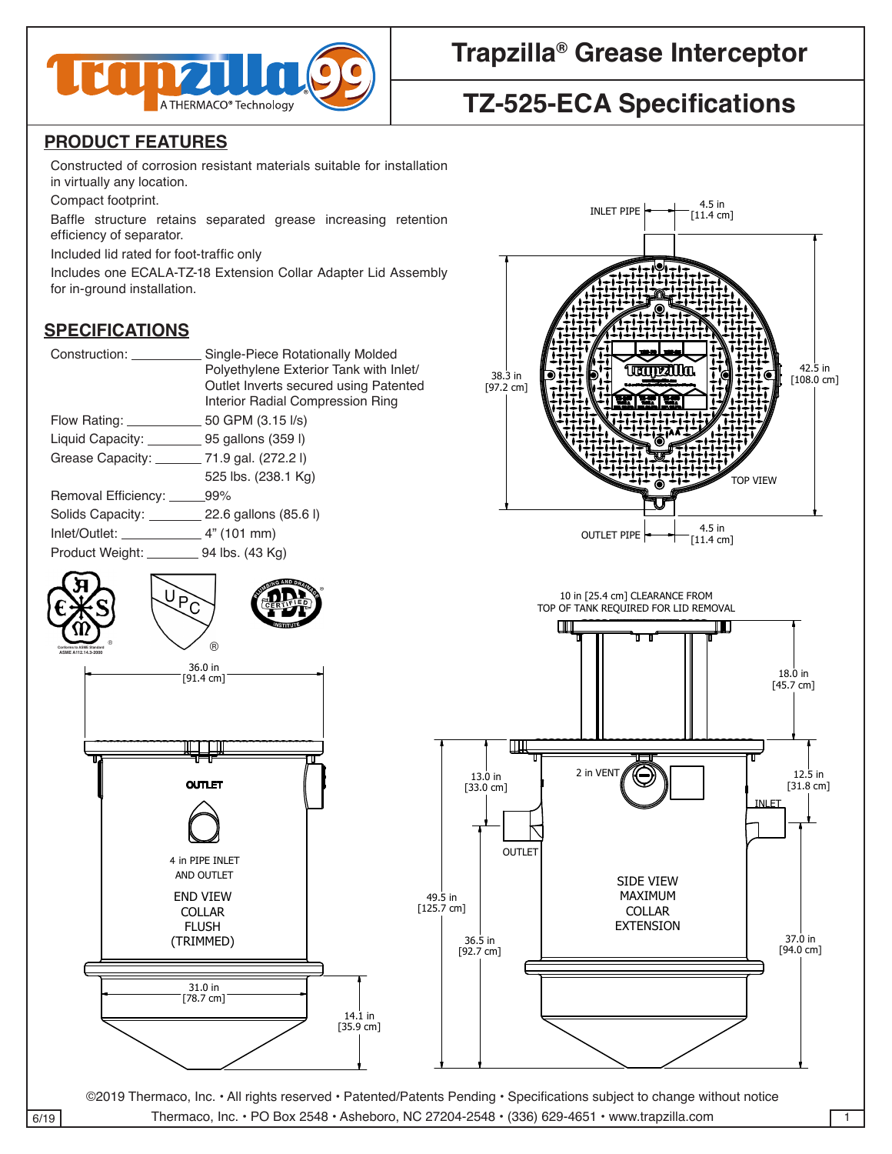

## **Trapzilla® Grease Interceptor**

## **TZ-525-ECA Specifications**

Constructed of corrosion resistant materials suitable for installation in virtually any location.

Compact footprint.

Baffle structure retains separated grease increasing retention efficiency of separator.

Included lid rated for foot-traffic only

for in-ground installation. Includes one ECALA-TZ-18 Extension Collar Adapter Lid Assembly

### **SPECIFICATIONS**

| Construction:                                 | Single-Piece Rotationally Molded       |
|-----------------------------------------------|----------------------------------------|
|                                               | Polyethylene Exterior Tank with Inlet/ |
|                                               | Outlet Inverts secured using Patented  |
|                                               | Interior Radial Compression Ring       |
|                                               |                                        |
| Liquid Capacity: 95 gallons (359 l)           |                                        |
| Grease Capacity: ________ 71.9 gal. (272.2 l) |                                        |
|                                               | 525 lbs. (238.1 Kg)                    |
| Removal Efficiency: 99%                       |                                        |
| Solids Capacity: 22.6 gallons (85.6 l)        |                                        |
|                                               |                                        |
| Product Weight: 94 lbs. (43 Kg)               |                                        |
|                                               |                                        |

36.0 in [91.4 cm]

OUTLET PIPE

Conforms to ASME Standard<br>
ASME A112.14.3-2000

**ASME A112.14.3-2000**

31.0 in [78.7 cm]

END VIEW COLLAR FLUSH (TRIMMED)

4 in PIPE INLET AND OUTLET

**OUTLET** 

 $\sim$ 

 $\overline{\phantom{a}}$ 



©2019 Thermaco, Inc. • All rights reserved • Patented/Patents Pending • Specifications subject to change without notice  $\overline{6/19}$  Thermaco, Inc. • PO Box 2548 • Asheboro, NC 27204-2548 • (336) 629-4651 • www.trapzilla.com 1

14.1 in [35.9 cm]

 $\begin{array}{c|c}\n & 14. \\
\hline\n & 14. \\
\hline\n & 35.9\n\end{array}$ 

THIS DRAWING CONTAINS PROPRIETARY AND PATENTED MATERIAL. THIS DRAWING MAY NOT BE REPRODUCED IN WHOLE OR PART WITHOUT

A A